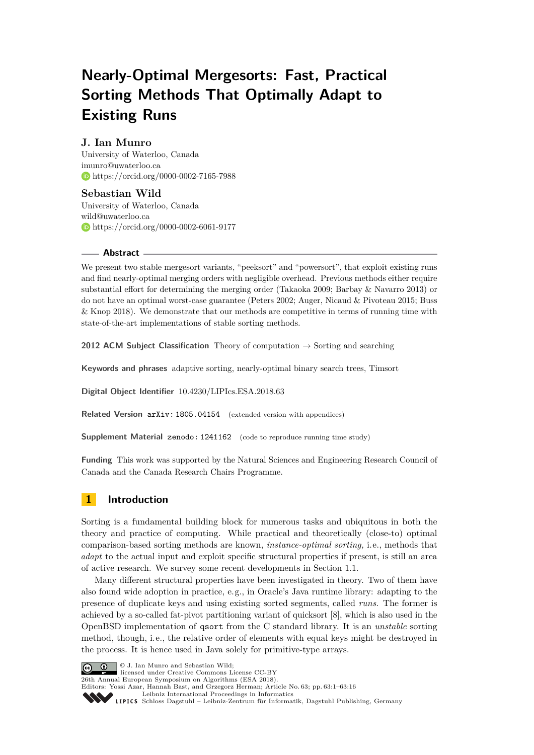# **Nearly-Optimal Mergesorts: Fast, Practical Sorting Methods That Optimally Adapt to Existing Runs**

# **J. Ian Munro**

University of Waterloo, Canada [imunro@uwaterloo.ca](mailto:imunro@uwaterloo.ca) <https://orcid.org/0000-0002-7165-7988>

**Sebastian Wild** University of Waterloo, Canada [wild@uwaterloo.ca](mailto:wild@uwaterloo.ca) <https://orcid.org/0000-0002-6061-9177>

#### **Abstract**

We present two stable mergesort variants, "peeksort" and "powersort", that exploit existing runs and find nearly-optimal merging orders with negligible overhead. Previous methods either require substantial effort for determining the merging order (Takaoka 2009; Barbay & Navarro 2013) or do not have an optimal worst-case guarantee (Peters 2002; Auger, Nicaud & Pivoteau 2015; Buss & Knop 2018). We demonstrate that our methods are competitive in terms of running time with state-of-the-art implementations of stable sorting methods.

**2012 ACM Subject Classification** Theory of computation → Sorting and searching

**Keywords and phrases** adaptive sorting, nearly-optimal binary search trees, Timsort

**Digital Object Identifier** [10.4230/LIPIcs.ESA.2018.63](http://dx.doi.org/10.4230/LIPIcs.ESA.2018.63)

**Related Version** [arXiv: 1805.04154](https://arxiv.org/abs/1805.04154) (extended version with appendices)

**Supplement Material [zenodo: 1241162](https://zenodo.org/record/1241162)** (code to reproduce running time study)

**Funding** This work was supported by the Natural Sciences and Engineering Research Council of Canada and the Canada Research Chairs Programme.

# **1 Introduction**

Sorting is a fundamental building block for numerous tasks and ubiquitous in both the theory and practice of computing. While practical and theoretically (close-to) optimal comparison-based sorting methods are known, *instance-optimal sorting,* i.e., methods that *adapt* to the actual input and exploit specific structural properties if present, is still an area of active research. We survey some recent developments in [Section 1.1.](#page-2-0)

Many different structural properties have been investigated in theory. Two of them have also found wide adoption in practice, e.g., in Oracle's Java runtime library: adapting to the presence of duplicate keys and using existing sorted segments, called *runs*. The former is achieved by a so-called fat-pivot partitioning variant of quicksort [\[8\]](#page-14-0), which is also used in the OpenBSD implementation of qsort from the C standard library. It is an *unstable* sorting method, though, i.e., the relative order of elements with equal keys might be destroyed in the process. It is hence used in Java solely for primitive-type arrays.

© J. Ian Munro and Sebastian Wild; licensed under Creative Commons License CC-BY 26th Annual European Symposium on Algorithms (ESA 2018). Editors: Yossi Azar, Hannah Bast, and Grzegorz Herman; Article No. 63; pp. 63:1–63[:16](#page-15-0) [Leibniz International Proceedings in Informatics](http://www.dagstuhl.de/lipics/) Leibniz international Floretungs in missimosische Publishing, Germany<br>LIPICS [Schloss Dagstuhl – Leibniz-Zentrum für Informatik, Dagstuhl Publishing, Germany](http://www.dagstuhl.de)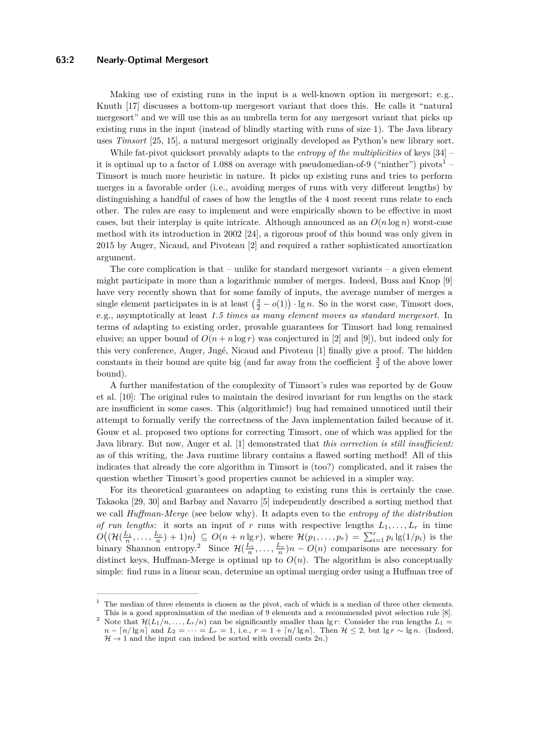Making use of existing runs in the input is a well-known option in mergesort; e.g., Knuth [\[17\]](#page-14-1) discusses a bottom-up mergesort variant that does this. He calls it "natural mergesort" and we will use this as an umbrella term for any mergesort variant that picks up existing runs in the input (instead of blindly starting with runs of size 1). The Java library uses *Timsort* [\[25,](#page-15-1) [15\]](#page-14-2), a natural mergesort originally developed as Python's new library sort.

While fat-pivot quicksort provably adapts to the *entropy of the multiplicities* of keys [\[34\]](#page-15-2) – it is optimal up to a factor of  $1.088$  $1.088$  on average with pseudomedian-of-9 ("ninther") pivots<sup>1</sup> – Timsort is much more heuristic in nature. It picks up existing runs and tries to perform merges in a favorable order (i.e., avoiding merges of runs with very different lengths) by distinguishing a handful of cases of how the lengths of the 4 most recent runs relate to each other. The rules are easy to implement and were empirically shown to be effective in most cases, but their interplay is quite intricate. Although announced as an  $O(n \log n)$  worst-case method with its introduction in 2002 [\[24\]](#page-15-3), a rigorous proof of this bound was only given in 2015 by Auger, Nicaud, and Pivoteau [\[2\]](#page-13-0) and required a rather sophisticated amortization argument.

The core complication is that – unlike for standard mergesort variants – a given element might participate in more than a logarithmic number of merges. Indeed, Buss and Knop [\[9\]](#page-14-3) have very recently shown that for some family of inputs, the average number of merges a single element participates in is at least  $(\frac{3}{2} - o(1)) \cdot \lg n$ . So in the worst case, Timsort does, e.g., asymptotically at least *1.5 times as many element moves as standard mergesort.* In terms of adapting to existing order, provable guarantees for Timsort had long remained elusive; an upper bound of  $O(n + n \log r)$  was conjectured in [\[2\]](#page-13-0) and [\[9\]](#page-14-3)), but indeed only for this very conference, Auger, Jugé, Nicaud and Pivoteau [\[1\]](#page-13-1) finally give a proof. The hidden constants in their bound are quite big (and far away from the coefficient  $\frac{3}{2}$  of the above lower bound).

A further manifestation of the complexity of Timsort's rules was reported by de Gouw et al. [\[10\]](#page-14-4): The original rules to maintain the desired invariant for run lengths on the stack are insufficient in some cases. This (algorithmic!) bug had remained unnoticed until their attempt to formally verify the correctness of the Java implementation failed because of it. Gouw et al. proposed two options for correcting Timsort, one of which was applied for the Java library. But now, Auger et al. [\[1\]](#page-13-1) demonstrated that *this correction is still insufficient:* as of this writing, the Java runtime library contains a flawed sorting method! All of this indicates that already the core algorithm in Timsort is (too?) complicated, and it raises the question whether Timsort's good properties cannot be achieved in a simpler way.

For its theoretical guarantees on adapting to existing runs this is certainly the case. Takaoka [\[29,](#page-15-4) [30\]](#page-15-5) and Barbay and Navarro [\[5\]](#page-14-5) independently described a sorting method that we call *Huffman-Merge* (see below why). It adapts even to the *entropy of the distribution of run lengths:* it sorts an input of *r* runs with respective lengths  $L_1, \ldots, L_r$  in time  $O((\mathcal{H}(\frac{L_1}{n},\ldots,\frac{L_r}{n})+1)n) \subseteq O(n+n \lg r)$ , where  $\mathcal{H}(p_1,\ldots,p_r) = \sum_{i=1}^r p_i \lg(1/p_i)$  is the binary Shannon entropy.<sup>[2](#page-1-1)</sup> Since  $\mathcal{H}(\frac{L_1}{n},\ldots,\frac{L_r}{n})n - O(n)$  comparisons are necessary for distinct keys, Huffman-Merge is optimal up to  $O(n)$ . The algorithm is also conceptually simple: find runs in a linear scan, determine an optimal merging order using a Huffman tree of

<span id="page-1-0"></span> $<sup>1</sup>$  The median of three elements is chosen as the pivot, each of which is a median of three other elements.</sup> This is a good approximation of the median of 9 elements and a recommended pivot selection rule [\[8\]](#page-14-0).

<span id="page-1-1"></span><sup>&</sup>lt;sup>2</sup> Note that  $\mathcal{H}(L_1/n, \ldots, L_r/n)$  can be significantly smaller than  $\lg r$ : Consider the run lengths  $L_1 =$  $n - \lfloor n/\lg n \rfloor$  and  $L_2 = \cdots = L_r = 1$ , i.e.,  $r = 1 + \lfloor n/\lg n \rfloor$ . Then  $\mathcal{H} \leq 2$ , but lg  $r \sim \lg n$ . (Indeed,  $\mathcal{H} \to 1$  and the input can indeed be sorted with overall costs  $2n$ .)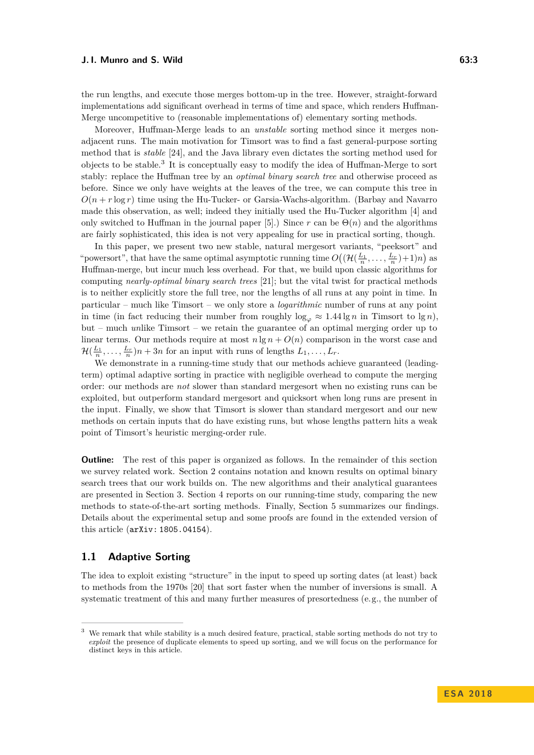the run lengths, and execute those merges bottom-up in the tree. However, straight-forward implementations add significant overhead in terms of time and space, which renders Huffman-Merge uncompetitive to (reasonable implementations of) elementary sorting methods.

Moreover, Huffman-Merge leads to an *unstable* sorting method since it merges nonadjacent runs. The main motivation for Timsort was to find a fast general-purpose sorting method that is *stable* [\[24\]](#page-15-3), and the Java library even dictates the sorting method used for objects to be stable.<sup>[3](#page-2-1)</sup> It is conceptually easy to modify the idea of Huffman-Merge to sort stably: replace the Huffman tree by an *optimal binary search tree* and otherwise proceed as before. Since we only have weights at the leaves of the tree, we can compute this tree in  $O(n + r \log r)$  time using the Hu-Tucker- or Garsia-Wachs-algorithm. (Barbay and Navarro made this observation, as well; indeed they initially used the Hu-Tucker algorithm [\[4\]](#page-14-6) and only switched to Huffman in the journal paper [\[5\]](#page-14-5).) Since  $r$  can be  $\Theta(n)$  and the algorithms are fairly sophisticated, this idea is not very appealing for use in practical sorting, though.

In this paper, we present two new stable, natural mergesort variants, "peeksort" and "powers ort", that have the same optimal asymptotic running time  $O((\mathcal{H}(\frac{L_1}{n}, \dots, \frac{L_r}{n})+1)n)$  as Huffman-merge, but incur much less overhead. For that, we build upon classic algorithms for computing *nearly-optimal binary search trees* [\[21\]](#page-14-7); but the vital twist for practical methods is to neither explicitly store the full tree, nor the lengths of all runs at any point in time. In particular – much like Timsort – we only store a *logarithmic* number of runs at any point in time (in fact reducing their number from roughly  $\log_{\varphi} \approx 1.44 \lg n$  in Timsort to  $\lg n$ ), but – much *un*like Timsort – we retain the guarantee of an optimal merging order up to linear terms. Our methods require at most  $n \lg n + O(n)$  comparison in the worst case and  $\mathcal{H}(\frac{L_1}{n}, \dots, \frac{L_r}{n})n + 3n$  for an input with runs of lengths  $L_1, \dots, L_r$ .

We demonstrate in a running-time study that our methods achieve guaranteed (leadingterm) optimal adaptive sorting in practice with negligible overhead to compute the merging order: our methods are *not* slower than standard mergesort when no existing runs can be exploited, but outperform standard mergesort and quicksort when long runs are present in the input. Finally, we show that Timsort is slower than standard mergesort and our new methods on certain inputs that do have existing runs, but whose lengths pattern hits a weak point of Timsort's heuristic merging-order rule.

**Outline:** The rest of this paper is organized as follows. In the remainder of this section we survey related work. [Section 2](#page-4-0) contains notation and known results on optimal binary search trees that our work builds on. The new algorithms and their analytical guarantees are presented in [Section 3.](#page-6-0) [Section 4](#page-9-0) reports on our running-time study, comparing the new methods to state-of-the-art sorting methods. Finally, [Section 5](#page-13-2) summarizes our findings. Details about the experimental setup and some proofs are found in the extended version of this article ([arXiv: 1805.04154](https://arxiv.org/abs/1805.04154)).

## <span id="page-2-0"></span>**1.1 Adaptive Sorting**

The idea to exploit existing "structure" in the input to speed up sorting dates (at least) back to methods from the 1970s [\[20\]](#page-14-8) that sort faster when the number of inversions is small. A systematic treatment of this and many further measures of presortedness (e.g., the number of

<span id="page-2-1"></span><sup>3</sup> We remark that while stability is a much desired feature, practical, stable sorting methods do not try to *exploit* the presence of duplicate elements to speed up sorting, and we will focus on the performance for distinct keys in this article.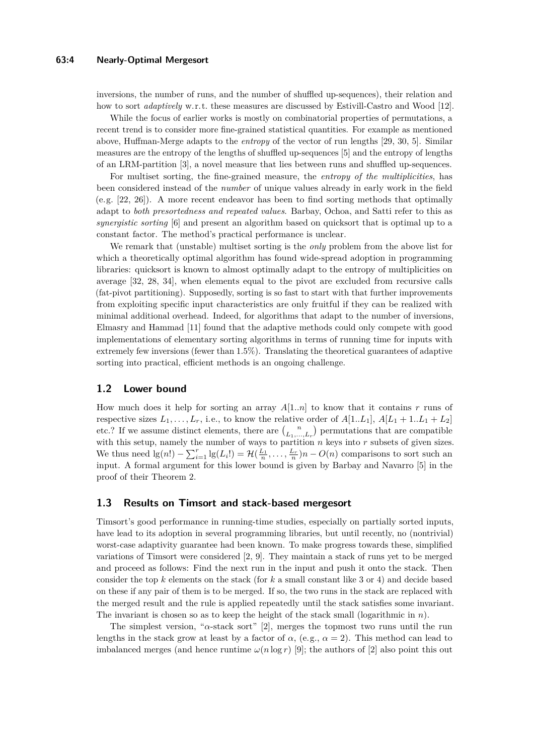inversions, the number of runs, and the number of shuffled up-sequences), their relation and how to sort *adaptively* w.r.t. these measures are discussed by Estivill-Castro and Wood [\[12\]](#page-14-9).

While the focus of earlier works is mostly on combinatorial properties of permutations, a recent trend is to consider more fine-grained statistical quantities. For example as mentioned above, Huffman-Merge adapts to the *entropy* of the vector of run lengths [\[29,](#page-15-4) [30,](#page-15-5) [5\]](#page-14-5). Similar measures are the entropy of the lengths of shuffled up-sequences [\[5\]](#page-14-5) and the entropy of lengths of an LRM-partition [\[3\]](#page-14-10), a novel measure that lies between runs and shuffled up-sequences.

For multiset sorting, the fine-grained measure, the *entropy of the multiplicities*, has been considered instead of the *number* of unique values already in early work in the field (e.g. [\[22,](#page-14-11) [26\]](#page-15-6)). A more recent endeavor has been to find sorting methods that optimally adapt to *both presortedness and repeated values*. Barbay, Ochoa, and Satti refer to this as *synergistic sorting* [\[6\]](#page-14-12) and present an algorithm based on quicksort that is optimal up to a constant factor. The method's practical performance is unclear.

We remark that (unstable) multiset sorting is the *only* problem from the above list for which a theoretically optimal algorithm has found wide-spread adoption in programming libraries: quicksort is known to almost optimally adapt to the entropy of multiplicities on average [\[32,](#page-15-7) [28,](#page-15-8) [34\]](#page-15-2), when elements equal to the pivot are excluded from recursive calls (fat-pivot partitioning). Supposedly, sorting is so fast to start with that further improvements from exploiting specific input characteristics are only fruitful if they can be realized with minimal additional overhead. Indeed, for algorithms that adapt to the number of inversions, Elmasry and Hammad [\[11\]](#page-14-13) found that the adaptive methods could only compete with good implementations of elementary sorting algorithms in terms of running time for inputs with extremely few inversions (fewer than 1.5%). Translating the theoretical guarantees of adaptive sorting into practical, efficient methods is an ongoing challenge.

## <span id="page-3-0"></span>**1.2 Lower bound**

How much does it help for sorting an array *A*[1*..n*] to know that it contains *r* runs of respective sizes  $L_1, \ldots, L_r$ , i.e., to know the relative order of  $A[1..L_1], A[L_1 + 1..L_1 + L_2]$ etc.? If we assume distinct elements, there are  $\binom{n}{L_1,\dots,L_r}$  permutations that are compatible with this setup, namely the number of ways to partition *n* keys into *r* subsets of given sizes. We thus need  $\lg(n!) - \sum_{i=1}^r \lg(L_i!) = \mathcal{H}(\frac{L_1}{n}, \dots, \frac{L_r}{n})n - O(n)$  comparisons to sort such an input. A formal argument for this lower bound is given by Barbay and Navarro [\[5\]](#page-14-5) in the proof of their Theorem 2.

## **1.3 Results on Timsort and stack-based mergesort**

Timsort's good performance in running-time studies, especially on partially sorted inputs, have lead to its adoption in several programming libraries, but until recently, no (nontrivial) worst-case adaptivity guarantee had been known. To make progress towards these, simplified variations of Timsort were considered [\[2,](#page-13-0) [9\]](#page-14-3). They maintain a stack of runs yet to be merged and proceed as follows: Find the next run in the input and push it onto the stack. Then consider the top *k* elements on the stack (for *k* a small constant like 3 or 4) and decide based on these if any pair of them is to be merged. If so, the two runs in the stack are replaced with the merged result and the rule is applied repeatedly until the stack satisfies some invariant. The invariant is chosen so as to keep the height of the stack small (logarithmic in *n*).

The simplest version, "*α*-stack sort" [\[2\]](#page-13-0), merges the topmost two runs until the run lengths in the stack grow at least by a factor of  $\alpha$ , (e.g.,  $\alpha = 2$ ). This method can lead to imbalanced merges (and hence runtime  $\omega(n \log r)$  [\[9\]](#page-14-3); the authors of [\[2\]](#page-13-0) also point this out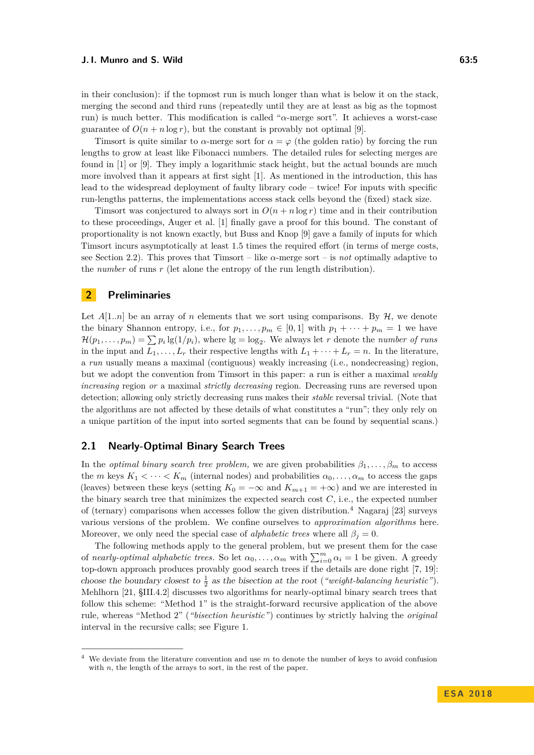in their conclusion): if the topmost run is much longer than what is below it on the stack, merging the second and third runs (repeatedly until they are at least as big as the topmost run) is much better. This modification is called "*α*-merge sort". It achieves a worst-case guarantee of  $O(n + n \log r)$ , but the constant is provably not optimal [\[9\]](#page-14-3).

Timsort is quite similar to  $\alpha$ -merge sort for  $\alpha = \varphi$  (the golden ratio) by forcing the run lengths to grow at least like Fibonacci numbers. The detailed rules for selecting merges are found in [\[1\]](#page-13-1) or [\[9\]](#page-14-3). They imply a logarithmic stack height, but the actual bounds are much more involved than it appears at first sight [\[1\]](#page-13-1). As mentioned in the introduction, this has lead to the widespread deployment of faulty library code – twice! For inputs with specific run-lengths patterns, the implementations access stack cells beyond the (fixed) stack size.

Timsort was conjectured to always sort in  $O(n + n \log r)$  time and in their contribution to these proceedings, Auger et al. [\[1\]](#page-13-1) finally gave a proof for this bound. The constant of proportionality is not known exactly, but Buss and Knop [\[9\]](#page-14-3) gave a family of inputs for which Timsort incurs asymptotically at least 1*.*5 times the required effort (in terms of merge costs, see [Section 2.2\)](#page-5-0). This proves that Timsort – like  $\alpha$ -merge sort – is *not* optimally adaptive to the *number* of runs *r* (let alone the entropy of the run length distribution).

### <span id="page-4-0"></span>**2 Preliminaries**

Let  $A[1..n]$  be an array of *n* elements that we sort using comparisons. By  $H$ , we denote the binary Shannon entropy, i.e., for  $p_1, \ldots, p_m \in [0,1]$  with  $p_1 + \cdots + p_m = 1$  we have  $\mathcal{H}(p_1,\ldots,p_m) = \sum p_i \lg(1/p_i)$ , where  $\lg = \log_2$ . We always let *r* denote the *number of runs* in the input and  $L_1, \ldots, L_r$  their respective lengths with  $L_1 + \cdots + L_r = n$ . In the literature, a *run* usually means a maximal (contiguous) weakly increasing (i.e., nondecreasing) region, but we adopt the convention from Timsort in this paper: a run is either a maximal *weakly increasing* region *or* a maximal *strictly decreasing* region. Decreasing runs are reversed upon detection; allowing only strictly decreasing runs makes their *stable* reversal trivial. (Note that the algorithms are not affected by these details of what constitutes a "run"; they only rely on a unique partition of the input into sorted segments that can be found by sequential scans.)

## <span id="page-4-2"></span>**2.1 Nearly-Optimal Binary Search Trees**

In the *optimal binary search tree problem,* we are given probabilities  $\beta_1, \ldots, \beta_m$  to access the *m* keys  $K_1 < \cdots < K_m$  (internal nodes) and probabilities  $\alpha_0, \ldots, \alpha_m$  to access the gaps (leaves) between these keys (setting  $K_0 = -\infty$  and  $K_{m+1} = +\infty$ ) and we are interested in the binary search tree that minimizes the expected search cost *C*, i.e., the expected number of (ternary) comparisons when accesses follow the given distribution.[4](#page-4-1) Nagaraj [\[23\]](#page-14-14) surveys various versions of the problem. We confine ourselves to *approximation algorithms* here. Moreover, we only need the special case of *alphabetic trees* where all  $\beta_j = 0$ .

The following methods apply to the general problem, but we present them for the case of *nearly-optimal alphabetic trees.* So let  $\alpha_0, \ldots, \alpha_m$  with  $\sum_{i=0}^m \alpha_i = 1$  be given. A greedy top-down approach produces provably good search trees if the details are done right [\[7,](#page-14-15) [19\]](#page-14-16): choose the boundary closest to  $\frac{1}{2}$  as the bisection at the root (*"weight-balancing heuristic"*). Mehlhorn [\[21,](#page-14-7) §III.4.2] discusses two algorithms for nearly-optimal binary search trees that follow this scheme: "Method 1" is the straight-forward recursive application of the above rule, whereas "Method 2" (*"bisection heuristic"*) continues by strictly halving the *original* interval in the recursive calls; see [Figure 1.](#page-5-1)

<span id="page-4-1"></span><sup>4</sup> We deviate from the literature convention and use *m* to denote the number of keys to avoid confusion with *n*, the length of the arrays to sort, in the rest of the paper.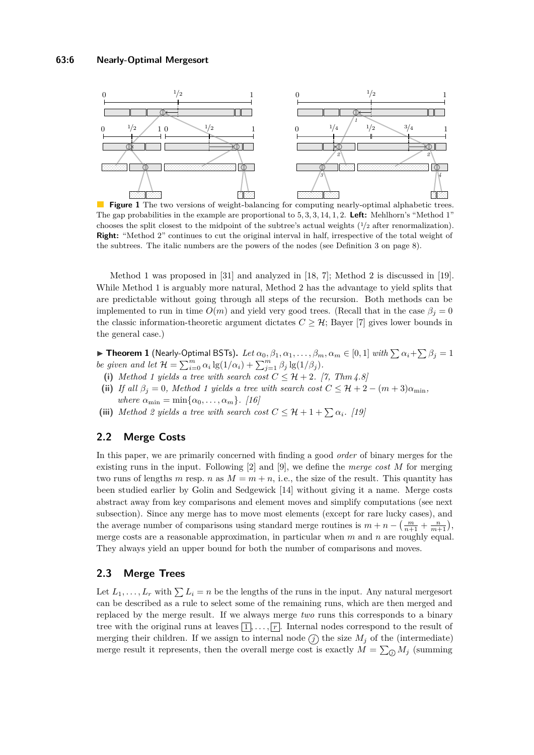<span id="page-5-1"></span>

**Figure 1** The two versions of weight-balancing for computing nearly-optimal alphabetic trees. The gap probabilities in the example are proportional to 5*,* 3*,* 3*,* 14*,* 1*,* 2. **Left:** Mehlhorn's "Method 1" chooses the split closest to the midpoint of the subtree's actual weights (1*/*<sup>2</sup> after renormalization). **Right:** "Method 2" continues to cut the original interval in half, irrespective of the total weight of the subtrees. The italic numbers are the powers of the nodes (see [Definition 3 on page 8\)](#page-7-0).

Method 1 was proposed in [\[31\]](#page-15-9) and analyzed in [\[18,](#page-14-17) [7\]](#page-14-15); Method 2 is discussed in [\[19\]](#page-14-16). While Method 1 is arguably more natural, Method 2 has the advantage to yield splits that are predictable without going through all steps of the recursion. Both methods can be implemented to run in time  $O(m)$  and yield very good trees. (Recall that in the case  $\beta_j = 0$ the classic information-theoretic argument dictates  $C \geq \mathcal{H}$ ; Bayer [\[7\]](#page-14-15) gives lower bounds in the general case.)

<span id="page-5-2"></span> $\blacktriangleright$  **Theorem 1** (Nearly-Optimal BSTs). *Let*  $\alpha_0, \beta_1, \alpha_1, \ldots, \beta_m, \alpha_m \in [0, 1]$  *with*  $\sum \alpha_i + \sum \beta_j = 1$ *be given and let*  $\mathcal{H} = \sum_{i=0}^{m} \alpha_i \lg(1/\alpha_i) + \sum_{j=1}^{m} \beta_j \lg(1/\beta_j)$ .

- (i) *Method 1 yields a tree with search cost*  $C \leq H + 2$ *.* [\[7,](#page-14-15) Thm 4.8]
- (ii) *If all*  $\beta_i = 0$ *, Method 1 yields a tree with search cost*  $C \leq H + 2 (m + 3)\alpha_{\min}$  $where \ \alpha_{\min} = \min\{\alpha_0, \ldots, \alpha_m\}.$  [\[16\]](#page-14-18)
- (iii) *Method 2 yields a tree with search cost*  $C \leq \mathcal{H} + 1 + \sum \alpha_i$ *. [\[19\]](#page-14-16)*

# <span id="page-5-0"></span>**2.2 Merge Costs**

In this paper, we are primarily concerned with finding a good *order* of binary merges for the existing runs in the input. Following [\[2\]](#page-13-0) and [\[9\]](#page-14-3), we define the *merge cost M* for merging two runs of lengths *m* resp. *n* as  $M = m + n$ , i.e., the size of the result. This quantity has been studied earlier by Golin and Sedgewick [\[14\]](#page-14-19) without giving it a name. Merge costs abstract away from key comparisons and element moves and simplify computations (see next subsection). Since any merge has to move most elements (except for rare lucky cases), and the average number of comparisons using standard merge routines is  $m + n - \left(\frac{m}{n+1} + \frac{n}{m+1}\right)$ , merge costs are a reasonable approximation, in particular when *m* and *n* are roughly equal. They always yield an upper bound for both the number of comparisons and moves.

# <span id="page-5-3"></span>**2.3 Merge Trees**

Let  $L_1, \ldots, L_r$  with  $\sum L_i = n$  be the lengths of the runs in the input. Any natural mergesort can be described as a rule to select some of the remaining runs, which are then merged and replaced by the merge result. If we always merge *two* runs this corresponds to a binary tree with the original runs at leaves  $\boxed{1}, \ldots, \boxed{r}$ . Internal nodes correspond to the result of merging their children. If we assign to internal node  $\widehat{J}$  the size  $M_j$  of the (intermediate) merge result it represents, then the overall merge cost is exactly  $M = \sum_{i} M_i$  (summing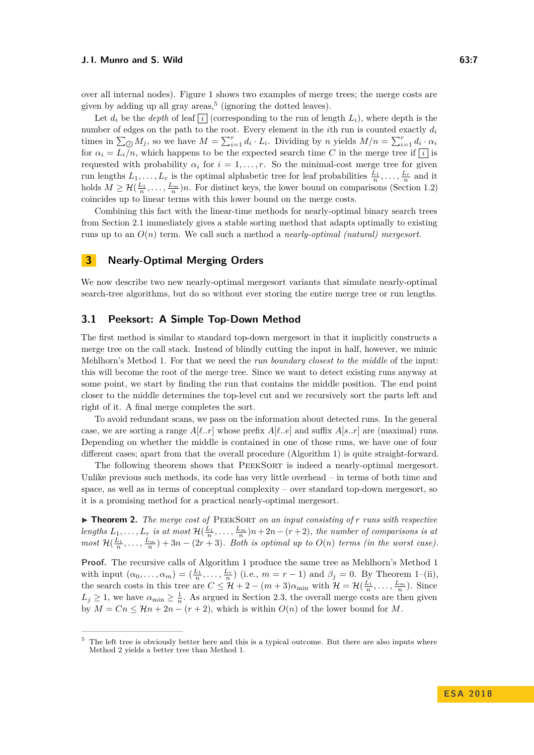Let  $d_i$  be the *depth* of leaf  $\lceil i \rceil$  (corresponding to the run of length  $L_i$ ), where depth is the number of edges on the path to the root. Every element in the *i*th run is counted exactly *d<sup>i</sup>* times in  $\sum_{\emptyset} M_j$ , so we have  $M = \sum_{i=1}^r d_i \cdot L_i$ . Dividing by *n* yields  $M/n = \sum_{i=1}^r d_i \cdot \alpha_i$ for  $\alpha_i = L_i/n$ , which happens to be the expected search time *C* in the merge tree if  $\boxed{i}$  is requested with probability  $\alpha_i$  for  $i = 1, \ldots, r$ . So the minimal-cost merge tree for given run lengths  $L_1, \ldots, L_r$  is the optimal alphabetic tree for leaf probabilities  $\frac{L_1}{n}, \ldots, \frac{L_r}{n}$  and it holds  $M \geq \mathcal{H}(\frac{L_1}{n}, \ldots, \frac{L_m}{n})n$ . For distinct keys, the lower bound on comparisons [\(Section 1.2\)](#page-3-0) coincides up to linear terms with this lower bound on the merge costs.

Combining this fact with the linear-time methods for nearly-optimal binary search trees from [Section 2.1](#page-4-2) immediately gives a stable sorting method that adapts optimally to existing runs up to an *O*(*n*) term. We call such a method a *nearly-optimal (natural) mergesort*.

## <span id="page-6-0"></span>**3 Nearly-Optimal Merging Orders**

We now describe two new nearly-optimal mergesort variants that simulate nearly-optimal search-tree algorithms, but do so without ever storing the entire merge tree or run lengths.

#### **3.1 Peeksort: A Simple Top-Down Method**

The first method is similar to standard top-down mergesort in that it implicitly constructs a merge tree on the call stack. Instead of blindly cutting the input in half, however, we mimic Mehlhorn's Method 1. For that we need the *run boundary closest to the middle* of the input: this will become the root of the merge tree. Since we want to detect existing runs anyway at some point, we start by finding the run that contains the middle position. The end point closer to the middle determines the top-level cut and we recursively sort the parts left and right of it. A final merge completes the sort.

To avoid redundant scans, we pass on the information about detected runs. In the general case, we are sorting a range  $A[\ell..r]$  whose prefix  $A[\ell..e]$  and suffix  $A[s..r]$  are (maximal) runs. Depending on whether the middle is contained in one of those runs, we have one of four different cases; apart from that the overall procedure [\(Algorithm 1\)](#page-7-1) is quite straight-forward.

The following theorem shows that PEEKSORT is indeed a nearly-optimal mergesort. Unlike previous such methods, its code has very little overhead – in terms of both time and space, as well as in terms of conceptual complexity – over standard top-down mergesort, so it is a promising method for a practical nearly-optimal mergesort.

<span id="page-6-2"></span>▶ **Theorem 2.** *The merge cost of* PEEKSORT *on an input consisting of r runs with respective lengths*  $L_1, \ldots, L_r$  *is at most*  $\mathcal{H}(\frac{L_1}{n}, \ldots, \frac{L_m}{n})n + 2n - (r+2)$ *, the number of comparisons is at most*  $\mathcal{H}(\frac{L_1}{n}, \dots, \frac{L_m}{n}) + 3n - (2r + 3)$ *. Both is optimal up to*  $O(n)$  *terms (in the worst case).* 

**Proof.** The recursive calls of [Algorithm 1](#page-7-1) produce the same tree as Mehlhorn's Method 1 with input  $(\alpha_0, \ldots, \alpha_m) = (\frac{L_1}{n}, \ldots, \frac{L_r}{n})$  (i.e.,  $m = r - 1$ ) and  $\beta_j = 0$ . By [Theorem 1–](#page-5-2)(ii), the search costs in this tree are  $C \leq \mathcal{H} + 2 - (m+3)\alpha_{\min}$  with  $\mathcal{H} = \mathcal{H}(\frac{L_1}{n}, \dots, \frac{L_m}{n})$ . Since  $L_j \geq 1$ , we have  $\alpha_{\min} \geq \frac{1}{n}$ . As argued in [Section 2.3,](#page-5-3) the overall merge costs are then given by  $M = Cn \leq \mathcal{H}n + 2n - (r + 2)$ , which is within  $O(n)$  of the lower bound for M.

<span id="page-6-1"></span> $5$  The left tree is obviously better here and this is a typical outcome. But there are also inputs where Method 2 yields a better tree than Method 1.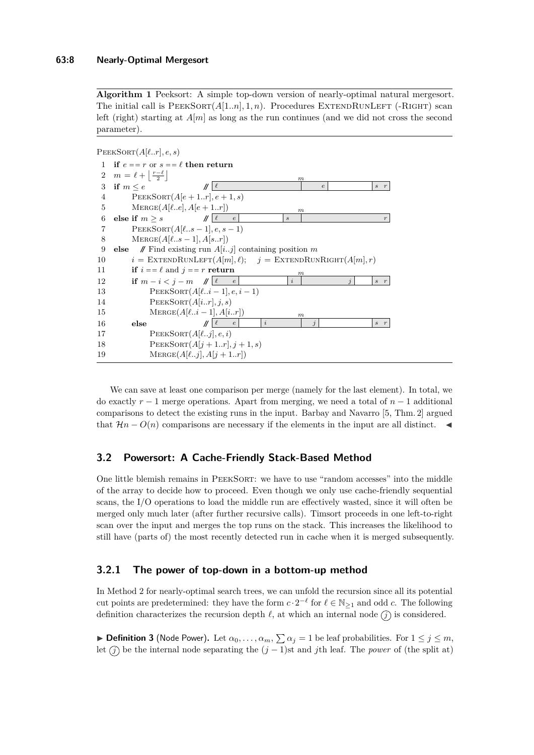<span id="page-7-1"></span>**Algorithm 1** Peeksort: A simple top-down version of nearly-optimal natural mergesort. The initial call is  $PEEKSORT(A[1..n], 1, n)$ . Procedures EXTENDRUNLEFT (-RIGHT) scan left (right) starting at  $A[m]$  as long as the run continues (and we did not cross the second parameter).

 $PEEKSORT(A[\ell..r], e, s)$ 

|                | 1 if $e = r$ or $s = \ell$ then return                                          |                             |                  |                         |                         |                                      |
|----------------|---------------------------------------------------------------------------------|-----------------------------|------------------|-------------------------|-------------------------|--------------------------------------|
|                | 2 $m = \ell + \left  \frac{r-\ell}{2} \right $                                  |                             | $\boldsymbol{m}$ |                         |                         |                                      |
| 3              | if $m \leq e$                                                                   | $\ \ \ell\ $                |                  | $\epsilon$              |                         | $\boldsymbol{r}$<br>$\boldsymbol{s}$ |
| 4              | $PEEKSort(A[e+1r],e+1,s)$                                                       |                             |                  |                         |                         |                                      |
| 5              | $MERGE(A[\elle], A[e+1r])$                                                      |                             | $\boldsymbol{m}$ |                         |                         |                                      |
| 6              | else if $m \geq s$ // $\ell$                                                    | $\boldsymbol{e}$            | $\boldsymbol{s}$ |                         |                         | $\boldsymbol{r}$                     |
| $\overline{7}$ | $PEEKSort(A[\ells-1], e, s-1)$                                                  |                             |                  |                         |                         |                                      |
| 8              | $MERGE(A[\ells-1], A[sr])$                                                      |                             |                  |                         |                         |                                      |
| 9              | <b>else</b> // Find existing run $A[ij]$ containing position m                  |                             |                  |                         |                         |                                      |
| 10             | $i = \text{EXTENDRunLET}(A[m], \ell); \quad j = \text{EXTENDRunRIGHT}(A[m], r)$ |                             |                  |                         |                         |                                      |
| 11             | if $i == \ell$ and $j == r$ return                                              |                             | $\boldsymbol{m}$ |                         |                         |                                      |
| 12             | if $m-i < j-m$ // $\ell$ e                                                      |                             | $\dot{i}$        |                         | $\overline{\mathbf{r}}$ | $s$ $r$                              |
| 13             | $PEEKSORT(A[\ell i-1], e, i-1)$                                                 |                             |                  |                         |                         |                                      |
| 14             | PEEKSORT(A[ir], j, s)                                                           |                             |                  |                         |                         |                                      |
| 15             | $MERGE(A[\ell i-1], A[ir])$                                                     |                             | m                |                         |                         |                                      |
| 16             | else                                                                            | $\dot{i}$<br>$\ \ell - e\ $ |                  | $\overline{\mathbf{1}}$ |                         | $s$ $r$                              |
| 17             | $PEEKSORT(A[\ellj], e, i)$                                                      |                             |                  |                         |                         |                                      |
| 18             | $PEEKSORT(A[j+1r], j+1,s)$                                                      |                             |                  |                         |                         |                                      |
| 19             | $MERGE(A[\ellj], A[j+1r])$                                                      |                             |                  |                         |                         |                                      |
|                |                                                                                 |                             |                  |                         |                         |                                      |

We can save at least one comparison per merge (namely for the last element). In total, we do exactly *r* − 1 merge operations. Apart from merging, we need a total of *n* − 1 additional comparisons to detect the existing runs in the input. Barbay and Navarro [\[5,](#page-14-5) Thm. 2] argued that  $\mathcal{H}n - O(n)$  comparisons are necessary if the elements in the input are all distinct.  $\blacktriangleleft$ 

# **3.2 Powersort: A Cache-Friendly Stack-Based Method**

One little blemish remains in PEEKSORT: we have to use "random accesses" into the middle of the array to decide how to proceed. Even though we only use cache-friendly sequential scans, the I/O operations to load the middle run are effectively wasted, since it will often be merged only much later (after further recursive calls). Timsort proceeds in one left-to-right scan over the input and merges the top runs on the stack. This increases the likelihood to still have (parts of) the most recently detected run in cache when it is merged subsequently.

## **3.2.1 The power of top-down in a bottom-up method**

In Method 2 for nearly-optimal search trees, we can unfold the recursion since all its potential cut points are predetermined: they have the form  $c \cdot 2^{-\ell}$  for  $\ell \in \mathbb{N}_{\geq 1}$  and odd  $c$ . The following definition characterizes the recursion depth  $\ell$ , at which an internal node  $\widehat{\ell}$  is considered.

<span id="page-7-0"></span>**Definition 3** (Node Power). Let  $\alpha_0, \ldots, \alpha_m, \sum \alpha_j = 1$  be leaf probabilities. For  $1 \leq j \leq m$ , let  $\widehat{f}$  be the internal node separating the  $(j-1)$ st and *j*th leaf. The *power* of (the split at)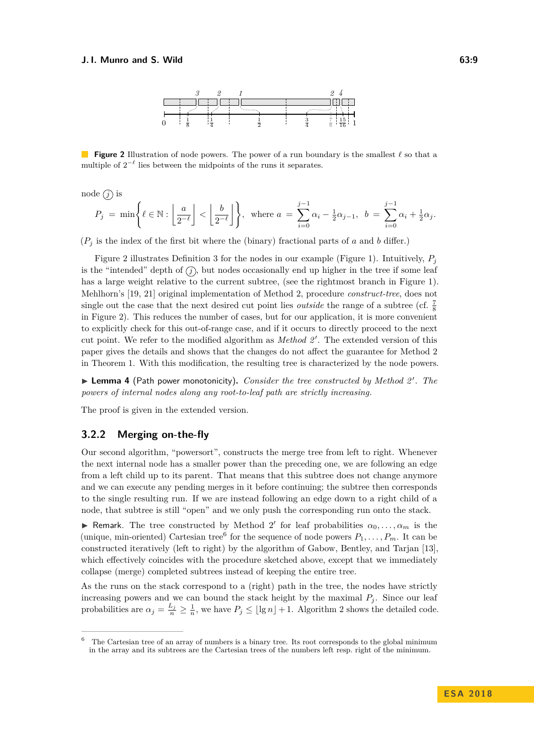

<span id="page-8-0"></span>**Figure 2** Illustration of node powers. The power of a run boundary is the smallest  $\ell$  so that a multiple of  $2^{-\ell}$  lies between the midpoints of the runs it separates.

node  $(j)$  is

$$
P_j\;=\;\min\Biggl\{\ell\in\mathbb{N}:\left\lfloor\frac{a}{2^{-\ell}}\right\rfloor<\left\lfloor\frac{b}{2^{-\ell}}\right\rfloor\Biggr\},\;\;\text{where}\;a\;=\;\sum_{i=0}^{j-1}\alpha_i\,-\tfrac{1}{2}\alpha_{j-1},\;\;b\;=\;\sum_{i=0}^{j-1}\alpha_i\,+\tfrac{1}{2}\alpha_j.
$$

 $(P_i$  is the index of the first bit where the (binary) fractional parts of *a* and *b* differ.)

[Figure 2](#page-8-0) illustrates [Definition 3](#page-7-0) for the nodes in our example [\(Figure 1\)](#page-5-1). Intuitively, *P<sup>j</sup>* is the "intended" depth of  $(\hat{j})$ , but nodes occasionally end up higher in the tree if some leaf has a large weight relative to the current subtree, (see the rightmost branch in [Figure 1\)](#page-5-1). Mehlhorn's [\[19,](#page-14-16) [21\]](#page-14-7) original implementation of Method 2, procedure *construct-tree*, does not single out the case that the next desired cut point lies *outside* the range of a subtree (cf.  $\frac{7}{8}$ ) in [Figure 2\)](#page-8-0). This reduces the number of cases, but for our application, it is more convenient to explicitly check for this out-of-range case, and if it occurs to directly proceed to the next cut point. We refer to the modified algorithm as *Method 2'*. The extended version of this paper gives the details and shows that the changes do not affect the guarantee for Method 2 in [Theorem 1.](#page-5-2) With this modification, the resulting tree is characterized by the node powers.

▶ Lemma 4 (Path power monotonicity). *Consider the tree constructed by Method 2'. The powers of internal nodes along any root-to-leaf path are strictly increasing.*

The proof is given in the extended version.

#### **3.2.2 Merging on-the-fly**

Our second algorithm, "powersort", constructs the merge tree from left to right. Whenever the next internal node has a smaller power than the preceding one, we are following an edge from a left child up to its parent. That means that this subtree does not change anymore and we can execute any pending merges in it before continuing; the subtree then corresponds to the single resulting run. If we are instead following an edge down to a right child of a node, that subtree is still "open" and we only push the corresponding run onto the stack.

**F** Remark. The tree constructed by Method 2' for leaf probabilities  $\alpha_0, \ldots, \alpha_m$  is the (unique, min-oriented) Cartesian tree<sup>[6](#page-8-1)</sup> for the sequence of node powers  $P_1, \ldots, P_m$ . It can be constructed iteratively (left to right) by the algorithm of Gabow, Bentley, and Tarjan [\[13\]](#page-14-20), which effectively coincides with the procedure sketched above, except that we immediately collapse (merge) completed subtrees instead of keeping the entire tree.

As the runs on the stack correspond to a (right) path in the tree, the nodes have strictly increasing powers and we can bound the stack height by the maximal  $P_j$ . Since our leaf probabilities are  $\alpha_j = \frac{L_j}{n} \geq \frac{1}{n}$ , we have  $P_j \leq \lfloor \lg n \rfloor + 1$ . [Algorithm 2](#page-9-1) shows the detailed code.

<span id="page-8-1"></span>The Cartesian tree of an array of numbers is a binary tree. Its root corresponds to the global minimum in the array and its subtrees are the Cartesian trees of the numbers left resp. right of the minimum.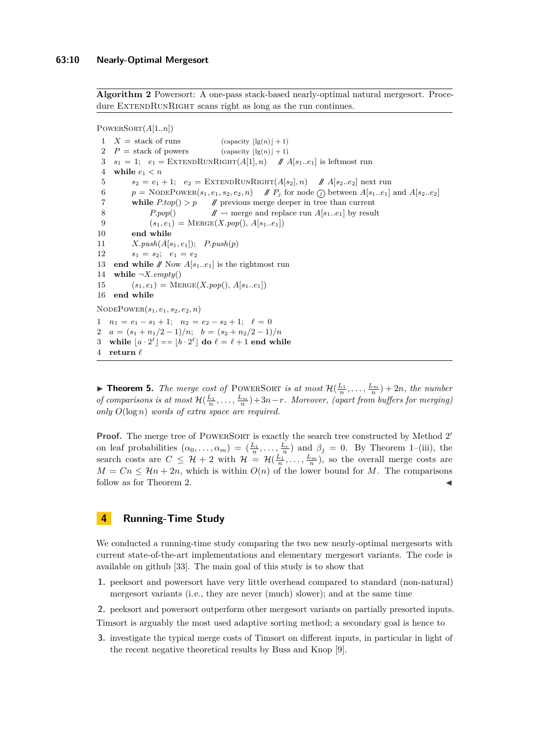<span id="page-9-1"></span>**Algorithm 2** Powersort: A one-pass stack-based nearly-optimal natural mergesort. Procedure EXTENDRUNRIGHT scans right as long as the run continues.

PowerSort(*A*[1*..n*])

 $X =$  stack of runs (capacity  $\left| \lg(n) \right| + 1$ )  $P =$  stack of powers (capacity  $\left| \lg(n) \right| + 1$ )  $s_1 = 1$ ;  $e_1 = \text{EXTENDRunRIGHT}(A[1], n)$  //  $A[s_1..e_1]$  is leftmost run 4 while  $e_1 < n$  $s_2 = e_1 + 1; e_2 = \text{EXTENDRunRIGHT}(A[s_2], n)$  //  $A[s_2..e_2]$  next run  $p = \text{NodePower}(s_1, e_1, s_2, e_2, n)$  //  $P_i$  for node  $\textcircled{f}$  between  $A[s_1..e_1]$  and  $A[s_2..e_2]$ **while**  $P \text{top}() > p$  // previous merge deeper in tree than current *P.pop*() **//**  $\rightsquigarrow$  merge and replace run  $A[s_1..e_1]$  by result  $(s_1, e_1) = \text{MERGE}(X, pop(), A[s_1..e_1])$  **end while**  $X.push(A[s_1, e_1])$ ;  $P.push(p)$  $s_1 = s_2$ ;  $e_1 = e_2$ **end while**  $\mathcal{N}$  Now  $A[s_1..e_1]$  is the rightmost run **while**  $\neg X. \text{empty()}$  $(s_1, e_1) = \text{MERGE}(X.pop(), A[s_1..e_1])$  **end while**  $NODEPower(s_1, e_1, s_2, e_2, n)$  $n_1 = e_1 - s_1 + 1; \quad n_2 = e_2 - s_2 + 1; \quad \ell = 0$  $a = (s_1 + n_1/2 - 1)/n; \quad b = (s_2 + n_2/2 - 1)/n$ 3 while  $[a \cdot 2^{\ell}] = [b \cdot 2^{\ell}]$  do  $\ell = \ell + 1$  end while **return**  $\ell$ 

**Find 15.** *The merge cost of* POWERSORT *is at most*  $\mathcal{H}(\frac{L_1}{n}, \ldots, \frac{L_m}{n}) + 2n$ *, the number of comparisons is at most*  $\mathcal{H}(\frac{L_1}{n}, \ldots, \frac{L_m}{n})+3n-r$ . Moreover, (apart from buffers for merging) *only O*(log *n*) *words of extra space are required.*

**Proof.** The merge tree of POWERSORT is exactly the search tree constructed by Method 2' on leaf probabilities  $(\alpha_0, \ldots, \alpha_m) = (\frac{L_1}{n}, \ldots, \frac{L_r}{n})$  and  $\beta_j = 0$ . By [Theorem 1–](#page-5-2)(iii), the search costs are  $C \leq \mathcal{H} + 2$  with  $\mathcal{H} = \mathcal{H}(\frac{L_1}{n}, \ldots, \frac{L_m}{n})$ , so the overall merge costs are  $M = Cn \leq \mathcal{H}n + 2n$ , which is within  $O(n)$  of the lower bound for *M*. The comparisons follow as for [Theorem 2.](#page-6-2)

# <span id="page-9-0"></span>**4 Running-Time Study**

We conducted a running-time study comparing the two new nearly-optimal mergesorts with current state-of-the-art implementations and elementary mergesort variants. The code is available on github [\[33\]](#page-15-10). The main goal of this study is to show that

- **1.** peeksort and powersort have very little overhead compared to standard (non-natural) mergesort variants (i.e., they are never (much) slower); and at the same time
- **2.** peeksort and powersort outperform other mergesort variants on partially presorted inputs.

Timsort is arguably the most used adaptive sorting method; a secondary goal is hence to

**3.** investigate the typical merge costs of Timsort on different inputs, in particular in light of the recent negative theoretical results by Buss and Knop [\[9\]](#page-14-3).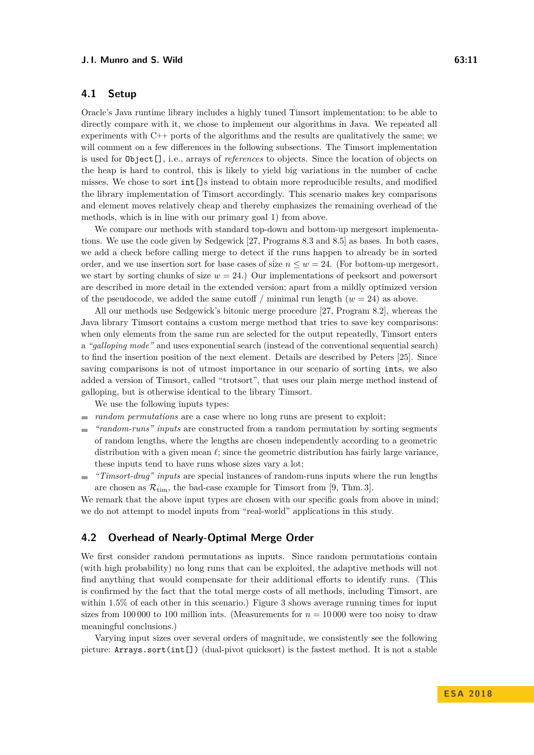#### **J. I. Munro and S. Wild 63:11** 63:11

# **4.1 Setup**

Oracle's Java runtime library includes a highly tuned Timsort implementation; to be able to directly compare with it, we chose to implement our algorithms in Java. We repeated all experiments with C++ ports of the algorithms and the results are qualitatively the same; we will comment on a few differences in the following subsections. The Timsort implementation is used for Object[], i.e., arrays of *references* to objects. Since the location of objects on the heap is hard to control, this is likely to yield big variations in the number of cache misses. We chose to sort int[]s instead to obtain more reproducible results, and modified the library implementation of Timsort accordingly. This scenario makes key comparisons and element moves relatively cheap and thereby emphasizes the remaining overhead of the methods, which is in line with our primary goal 1) from above.

We compare our methods with standard top-down and bottom-up mergesort implementations. We use the code given by Sedgewick [\[27,](#page-15-11) Programs 8.3 and 8.5] as bases. In both cases, we add a check before calling merge to detect if the runs happen to already be in sorted order, and we use insertion sort for base cases of size  $n \leq w = 24$ . (For bottom-up mergesort, we start by sorting chunks of size  $w = 24$ .) Our implementations of peeksort and powersort are described in more detail in the extended version; apart from a mildly optimized version of the pseudocode, we added the same cutoff / minimal run length  $(w = 24)$  as above.

All our methods use Sedgewick's bitonic merge procedure [\[27,](#page-15-11) Program 8.2], whereas the Java library Timsort contains a custom merge method that tries to save key comparisons: when only elements from the same run are selected for the output repeatedly, Timsort enters a *"galloping mode"* and uses exponential search (instead of the conventional sequential search) to find the insertion position of the next element. Details are described by Peters [\[25\]](#page-15-1). Since saving comparisons is not of utmost importance in our scenario of sorting ints, we also added a version of Timsort, called "trotsort", that uses our plain merge method instead of galloping, but is otherwise identical to the library Timsort.

We use the following inputs types:

- *random permutations* are a case where no long runs are present to exploit;
- *"random-runs" inputs* are constructed from a random permutation by sorting segments of random lengths, where the lengths are chosen independently according to a geometric distribution with a given mean  $\ell$ ; since the geometric distribution has fairly large variance, these inputs tend to have runs whose sizes vary a lot;
- *"Timsort-drag" inputs* are special instances of random-runs inputs where the run lengths  $\frac{1}{2}$ are chosen as  $\mathcal{R}_{\text{tim}}$ , the bad-case example for Timsort from [\[9,](#page-14-3) Thm. 3].

We remark that the above input types are chosen with our specific goals from above in mind; we do not attempt to model inputs from "real-world" applications in this study.

## **4.2 Overhead of Nearly-Optimal Merge Order**

We first consider random permutations as inputs. Since random permutations contain (with high probability) no long runs that can be exploited, the adaptive methods will not find anything that would compensate for their additional efforts to identify runs. (This is confirmed by the fact that the total merge costs of all methods, including Timsort, are within 1.5% of each other in this scenario.) [Figure 3](#page-11-0) shows average running times for input sizes from 100 000 to 100 million ints. (Measurements for  $n = 10000$  were too noisy to draw meaningful conclusions.)

Varying input sizes over several orders of magnitude, we consistently see the following picture: Arrays.sort(int[]) (dual-pivot quicksort) is the fastest method. It is not a stable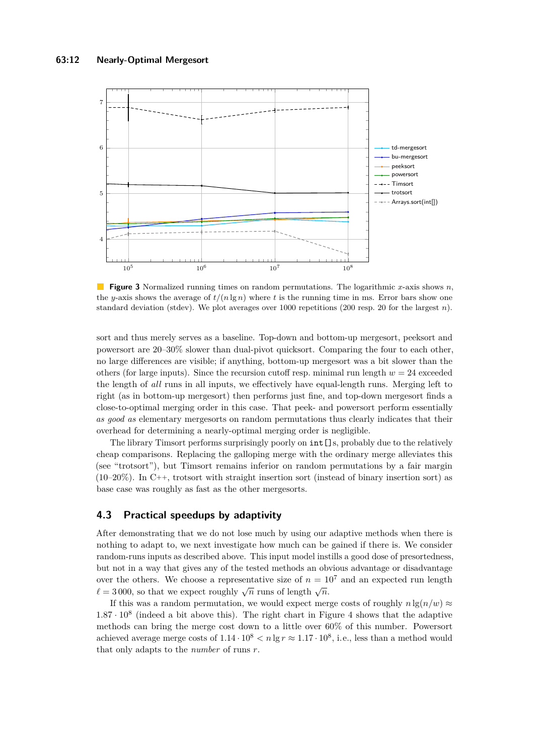<span id="page-11-0"></span>

**Figure 3** Normalized running times on random permutations. The logarithmic *x*-axis shows *n*, the *y*-axis shows the average of  $t/(n \lg n)$  where *t* is the running time in ms. Error bars show one standard deviation (stdev). We plot averages over 1000 repetitions (200 resp. 20 for the largest *n*).

sort and thus merely serves as a baseline. Top-down and bottom-up mergesort, peeksort and powersort are 20–30% slower than dual-pivot quicksort. Comparing the four to each other, no large differences are visible; if anything, bottom-up mergesort was a bit slower than the others (for large inputs). Since the recursion cutoff resp. minimal run length  $w = 24$  exceeded the length of *all* runs in all inputs, we effectively have equal-length runs. Merging left to right (as in bottom-up mergesort) then performs just fine, and top-down mergesort finds a close-to-optimal merging order in this case. That peek- and powersort perform essentially *as good as* elementary mergesorts on random permutations thus clearly indicates that their overhead for determining a nearly-optimal merging order is negligible.

The library Timsort performs surprisingly poorly on  $int[j]$ s, probably due to the relatively cheap comparisons. Replacing the galloping merge with the ordinary merge alleviates this (see "trotsort"), but Timsort remains inferior on random permutations by a fair margin  $(10-20\%)$ . In C++, trotsort with straight insertion sort (instead of binary insertion sort) as base case was roughly as fast as the other mergesorts.

## **4.3 Practical speedups by adaptivity**

After demonstrating that we do not lose much by using our adaptive methods when there is nothing to adapt to, we next investigate how much can be gained if there is. We consider random-runs inputs as described above. This input model instills a good dose of presortedness, but not in a way that gives any of the tested methods an obvious advantage or disadvantage over the others. We choose a representative size of  $n = 10^7$  and an expected run length  $\ell = 3000$ , so that we expect roughly  $\sqrt{n}$  runs of length  $\sqrt{n}$ .

If this was a random permutation, we would expect merge costs of roughly  $n \lg(n/w) \approx$  $1.87 \cdot 10^8$  (indeed a bit above this). The right chart in [Figure 4](#page-12-0) shows that the adaptive methods can bring the merge cost down to a little over 60% of this number. Powersort achieved average merge costs of  $1.14 \cdot 10^8$   $\lt n \lg r \approx 1.17 \cdot 10^8$ , i.e., less than a method would that only adapts to the *number* of runs *r*.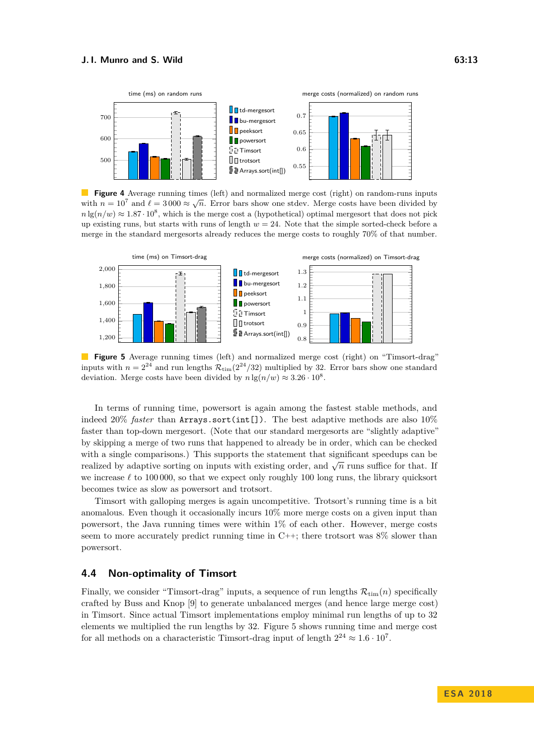<span id="page-12-0"></span>

**Figure 4** Average running times (left) and normalized merge cost (right) on random-runs inputs with  $n = 10^7$  and  $\ell = 3000 \approx \sqrt{n}$ . Error bars show one stdev. Merge costs have been divided by  $n \lg(n/w) \approx 1.87 \cdot 10^8$ , which is the merge cost a (hypothetical) optimal mergesort that does not pick up existing runs, but starts with runs of length *w* = 24. Note that the simple sorted-check before a merge in the standard mergesorts already reduces the merge costs to roughly 70% of that number.

<span id="page-12-1"></span>

**Figure 5** Average running times (left) and normalized merge cost (right) on "Timsort-drag" inputs with  $n = 2^{24}$  and run lengths  $\mathcal{R}_{\text{tim}}(2^{24}/32)$  multiplied by 32. Error bars show one standard deviation. Merge costs have been divided by  $n \lg(n/w) \approx 3.26 \cdot 10^8$ .

In terms of running time, powersort is again among the fastest stable methods, and indeed 20% *faster* than Arrays.sort(int[]). The best adaptive methods are also 10% faster than top-down mergesort. (Note that our standard mergesorts are "slightly adaptive" by skipping a merge of two runs that happened to already be in order, which can be checked with a single comparisons.) This supports the statement that significant speedups can be realized by adaptive sorting on inputs with existing order, and  $\sqrt{n}$  runs suffice for that. If we increase  $\ell$  to 100 000, so that we expect only roughly 100 long runs, the library quicksort becomes twice as slow as powersort and trotsort.

Timsort with galloping merges is again uncompetitive. Trotsort's running time is a bit anomalous. Even though it occasionally incurs 10% more merge costs on a given input than powersort, the Java running times were within 1% of each other. However, merge costs seem to more accurately predict running time in  $C++$ ; there trotsort was  $8\%$  slower than powersort.

# **4.4 Non-optimality of Timsort**

Finally, we consider "Timsort-drag" inputs, a sequence of run lengths  $\mathcal{R}_{\text{tim}}(n)$  specifically crafted by Buss and Knop [\[9\]](#page-14-3) to generate unbalanced merges (and hence large merge cost) in Timsort. Since actual Timsort implementations employ minimal run lengths of up to 32 elements we multiplied the run lengths by 32. [Figure 5](#page-12-1) shows running time and merge cost for all methods on a characteristic Timsort-drag input of length  $2^{24} \approx 1.6 \cdot 10^{7}$ .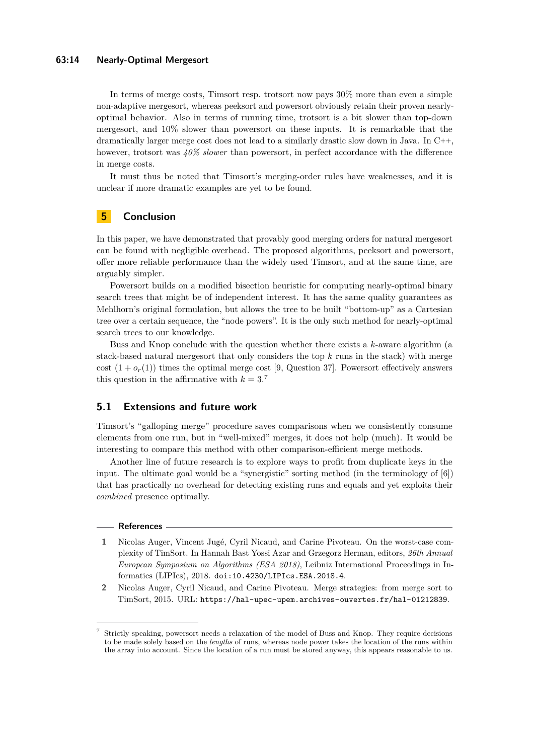#### **63:14 Nearly-Optimal Mergesort**

In terms of merge costs, Timsort resp. trotsort now pays 30% more than even a simple non-adaptive mergesort, whereas peeksort and powersort obviously retain their proven nearlyoptimal behavior. Also in terms of running time, trotsort is a bit slower than top-down mergesort, and 10% slower than powersort on these inputs. It is remarkable that the dramatically larger merge cost does not lead to a similarly drastic slow down in Java. In C++, however, trotsort was *40% slower* than powersort, in perfect accordance with the difference in merge costs.

It must thus be noted that Timsort's merging-order rules have weaknesses, and it is unclear if more dramatic examples are yet to be found.

# <span id="page-13-2"></span>**5 Conclusion**

In this paper, we have demonstrated that provably good merging orders for natural mergesort can be found with negligible overhead. The proposed algorithms, peeksort and powersort, offer more reliable performance than the widely used Timsort, and at the same time, are arguably simpler.

Powersort builds on a modified bisection heuristic for computing nearly-optimal binary search trees that might be of independent interest. It has the same quality guarantees as Mehlhorn's original formulation, but allows the tree to be built "bottom-up" as a Cartesian tree over a certain sequence, the "node powers". It is the only such method for nearly-optimal search trees to our knowledge.

Buss and Knop conclude with the question whether there exists a *k*-aware algorithm (a stack-based natural mergesort that only considers the top *k* runs in the stack) with merge cost  $(1 + o_r(1))$  times the optimal merge cost [\[9,](#page-14-3) Question 37]. Powersort effectively answers this question in the affirmative with  $k = 3$ .<sup>[7](#page-13-3)</sup>

# **5.1 Extensions and future work**

Timsort's "galloping merge" procedure saves comparisons when we consistently consume elements from one run, but in "well-mixed" merges, it does not help (much). It would be interesting to compare this method with other comparison-efficient merge methods.

Another line of future research is to explore ways to profit from duplicate keys in the input. The ultimate goal would be a "synergistic" sorting method (in the terminology of [\[6\]](#page-14-12)) that has practically no overhead for detecting existing runs and equals and yet exploits their *combined* presence optimally.

#### **References**

- <span id="page-13-1"></span>**1** Nicolas Auger, Vincent Jugé, Cyril Nicaud, and Carine Pivoteau. On the worst-case complexity of TimSort. In Hannah Bast Yossi Azar and Grzegorz Herman, editors, *26th Annual European Symposium on Algorithms (ESA 2018)*, Leibniz International Proceedings in Informatics (LIPIcs), 2018. [doi:10.4230/LIPIcs.ESA.2018.4](http://dx.doi.org/10.4230/LIPIcs.ESA.2018.4).
- <span id="page-13-0"></span>**2** Nicolas Auger, Cyril Nicaud, and Carine Pivoteau. Merge strategies: from merge sort to TimSort, 2015. URL: <https://hal-upec-upem.archives-ouvertes.fr/hal-01212839>.

<span id="page-13-3"></span><sup>7</sup> Strictly speaking, powersort needs a relaxation of the model of Buss and Knop. They require decisions to be made solely based on the *lengths* of runs, whereas node power takes the location of the runs within the array into account. Since the location of a run must be stored anyway, this appears reasonable to us.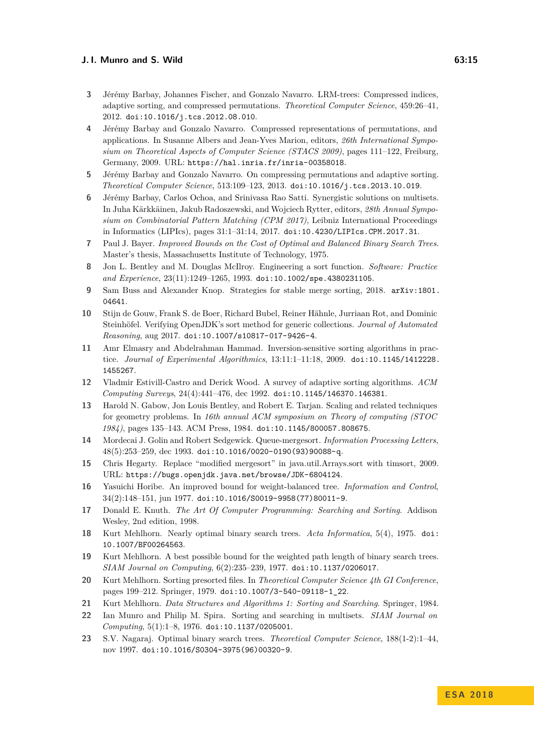- <span id="page-14-10"></span>**3** Jérémy Barbay, Johannes Fischer, and Gonzalo Navarro. LRM-trees: Compressed indices, adaptive sorting, and compressed permutations. *Theoretical Computer Science*, 459:26–41, 2012. [doi:10.1016/j.tcs.2012.08.010](http://dx.doi.org/10.1016/j.tcs.2012.08.010).
- <span id="page-14-6"></span>**4** Jérémy Barbay and Gonzalo Navarro. Compressed representations of permutations, and applications. In Susanne Albers and Jean-Yves Marion, editors, *26th International Symposium on Theoretical Aspects of Computer Science (STACS 2009)*, pages 111–122, Freiburg, Germany, 2009. URL: <https://hal.inria.fr/inria-00358018>.
- <span id="page-14-5"></span>**5** Jérémy Barbay and Gonzalo Navarro. On compressing permutations and adaptive sorting. *Theoretical Computer Science*, 513:109–123, 2013. [doi:10.1016/j.tcs.2013.10.019](http://dx.doi.org/10.1016/j.tcs.2013.10.019).
- <span id="page-14-12"></span>**6** Jérémy Barbay, Carlos Ochoa, and Srinivasa Rao Satti. Synergistic solutions on multisets. In Juha Kärkkäinen, Jakub Radoszewski, and Wojciech Rytter, editors, *28th Annual Symposium on Combinatorial Pattern Matching (CPM 2017)*, Leibniz International Proceedings in Informatics (LIPIcs), pages 31:1–31:14, 2017. [doi:10.4230/LIPIcs.CPM.2017.31](http://dx.doi.org/10.4230/LIPIcs.CPM.2017.31).
- <span id="page-14-15"></span>**7** Paul J. Bayer. *Improved Bounds on the Cost of Optimal and Balanced Binary Search Trees*. Master's thesis, Massachusetts Institute of Technology, 1975.
- <span id="page-14-0"></span>**8** Jon L. Bentley and M. Douglas McIlroy. Engineering a sort function. *Software: Practice and Experience*, 23(11):1249–1265, 1993. [doi:10.1002/spe.4380231105](http://dx.doi.org/10.1002/spe.4380231105).
- <span id="page-14-3"></span>**9** Sam Buss and Alexander Knop. Strategies for stable merge sorting, 2018. [arXiv:1801.](http://arxiv.org/abs/1801.04641) [04641](http://arxiv.org/abs/1801.04641).
- <span id="page-14-4"></span>**10** Stijn de Gouw, Frank S. de Boer, Richard Bubel, Reiner Hähnle, Jurriaan Rot, and Dominic Steinhöfel. Verifying OpenJDK's sort method for generic collections. *Journal of Automated Reasoning*, aug 2017. [doi:10.1007/s10817-017-9426-4](http://dx.doi.org/10.1007/s10817-017-9426-4).
- <span id="page-14-13"></span>**11** Amr Elmasry and Abdelrahman Hammad. Inversion-sensitive sorting algorithms in practice. *Journal of Experimental Algorithmics*, 13:11:1–11:18, 2009. [doi:10.1145/1412228.](http://dx.doi.org/10.1145/1412228.1455267) [1455267](http://dx.doi.org/10.1145/1412228.1455267).
- <span id="page-14-9"></span>**12** Vladmir Estivill-Castro and Derick Wood. A survey of adaptive sorting algorithms. *ACM Computing Surveys*, 24(4):441–476, dec 1992. [doi:10.1145/146370.146381](http://dx.doi.org/10.1145/146370.146381).
- <span id="page-14-20"></span>**13** Harold N. Gabow, Jon Louis Bentley, and Robert E. Tarjan. Scaling and related techniques for geometry problems. In *16th annual ACM symposium on Theory of computing (STOC 1984)*, pages 135–143. ACM Press, 1984. [doi:10.1145/800057.808675](http://dx.doi.org/10.1145/800057.808675).
- <span id="page-14-19"></span>**14** Mordecai J. Golin and Robert Sedgewick. Queue-mergesort. *Information Processing Letters*, 48(5):253–259, dec 1993. [doi:10.1016/0020-0190\(93\)90088-q](http://dx.doi.org/10.1016/0020-0190(93)90088-q).
- <span id="page-14-2"></span>**15** Chris Hegarty. Replace "modified mergesort" in java.util.Arrays.sort with timsort, 2009. URL: <https://bugs.openjdk.java.net/browse/JDK-6804124>.
- <span id="page-14-18"></span>**16** Yasuichi Horibe. An improved bound for weight-balanced tree. *Information and Control*, 34(2):148–151, jun 1977. [doi:10.1016/S0019-9958\(77\)80011-9](http://dx.doi.org/10.1016/S0019-9958(77)80011-9).
- <span id="page-14-1"></span>**17** Donald E. Knuth. *The Art Of Computer Programming: Searching and Sorting*. Addison Wesley, 2nd edition, 1998.
- <span id="page-14-17"></span>**18** Kurt Mehlhorn. Nearly optimal binary search trees. *Acta Informatica*, 5(4), 1975. [doi:](http://dx.doi.org/10.1007/BF00264563) [10.1007/BF00264563](http://dx.doi.org/10.1007/BF00264563).
- <span id="page-14-16"></span>**19** Kurt Mehlhorn. A best possible bound for the weighted path length of binary search trees. *SIAM Journal on Computing*, 6(2):235–239, 1977. [doi:10.1137/0206017](http://dx.doi.org/10.1137/0206017).
- <span id="page-14-8"></span>**20** Kurt Mehlhorn. Sorting presorted files. In *Theoretical Computer Science 4th GI Conference*, pages 199–212. Springer, 1979. [doi:10.1007/3-540-09118-1\\_22](http://dx.doi.org/10.1007/3-540-09118-1_22).
- <span id="page-14-7"></span>**21** Kurt Mehlhorn. *Data Structures and Algorithms 1: Sorting and Searching*. Springer, 1984.
- <span id="page-14-11"></span>**22** Ian Munro and Philip M. Spira. Sorting and searching in multisets. *SIAM Journal on Computing*, 5(1):1–8, 1976. [doi:10.1137/0205001](http://dx.doi.org/10.1137/0205001).
- <span id="page-14-14"></span>**23** S.V. Nagaraj. Optimal binary search trees. *Theoretical Computer Science*, 188(1-2):1–44, nov 1997. [doi:10.1016/S0304-3975\(96\)00320-9](http://dx.doi.org/10.1016/S0304-3975(96)00320-9).